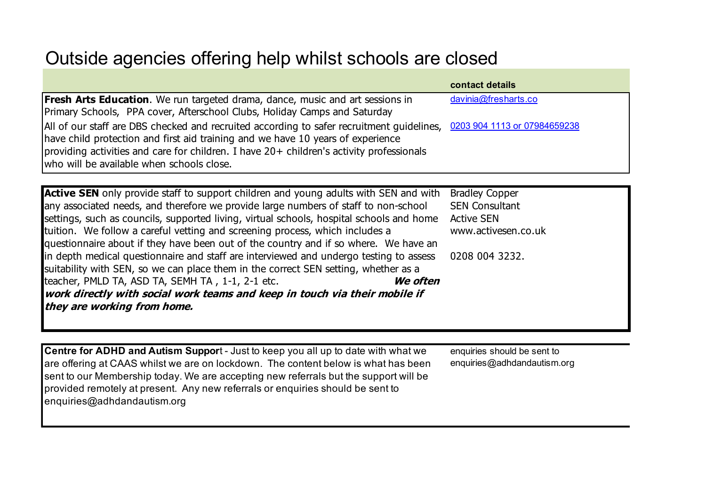## Outside agencies offering help whilst schools are closed

|                                                                                                                        | contact details      |
|------------------------------------------------------------------------------------------------------------------------|----------------------|
| <b>Fresh Arts Education</b> . We run targeted drama, dance, music and art sessions in                                  | davinia@fresharts.co |
| Primary Schools, PPA cover, Afterschool Clubs, Holiday Camps and Saturday                                              |                      |
| All of our staff are DBS checked and recruited according to safer recruitment guidelines, 0203 904 1113 or 07984659238 |                      |
| have child protection and first aid training and we have 10 years of experience                                        |                      |
| providing activities and care for children. I have 20+ children's activity professionals                               |                      |
| who will be available when schools close.                                                                              |                      |

**Active SEN** only provide staff to support children and young adults with SEN and with any associated needs, and therefore we provide large numbers of staff to non-school settings, such as councils, supported living, virtual schools, hospital schools and home tuition. We follow a careful vetting and screening process, which includes a questionnaire about if they have been out of the country and if so where. We have an in depth medical questionnaire and staff are interviewed and undergo testing to assess suitability with SEN, so we can place them in the correct SEN setting, whether as a teacher, PMLD TA, ASD TA, SEMH TA , 1-1, 2-1 etc. **We often work directly with social work teams and keep in touch via their mobile if they are working from home.**  Bradley Copper SEN Consultant Active SEN www.activesen.co.uk 0208 004 3232.

**Centre for ADHD and Autism Suppor**t - Just to keep you all up to date with what we are offering at CAAS whilst we are on lockdown. The content below is what has been sent to our Membership today. We are accepting new referrals but the support will be provided remotely at present. Any new referrals or enquiries should be sent to enquiries@adhdandautism.org

enquiries should be sent to enquiries@adhdandautism.org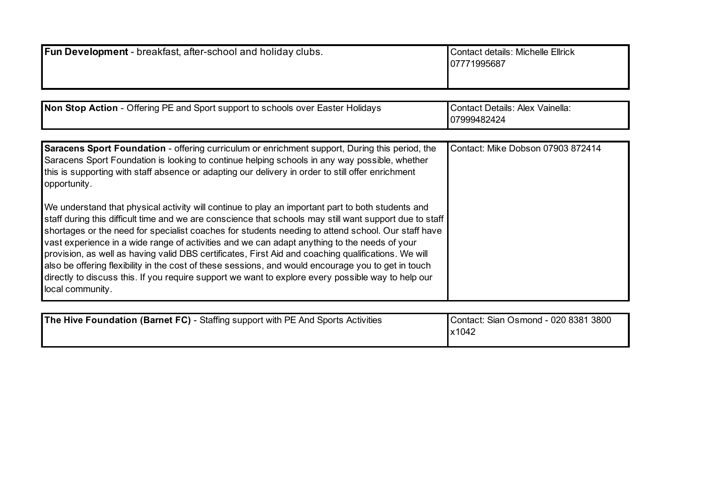| Fun Development - breakfast, after-school and holiday clubs.                                                                                                                                                                                                                                                                                                                                                                                                                                                                                                                                                                                                                                                                                                                                                                                                                                                                                                                                                                                                                              | <b>Contact details: Michelle Ellrick</b><br>07771995687 |
|-------------------------------------------------------------------------------------------------------------------------------------------------------------------------------------------------------------------------------------------------------------------------------------------------------------------------------------------------------------------------------------------------------------------------------------------------------------------------------------------------------------------------------------------------------------------------------------------------------------------------------------------------------------------------------------------------------------------------------------------------------------------------------------------------------------------------------------------------------------------------------------------------------------------------------------------------------------------------------------------------------------------------------------------------------------------------------------------|---------------------------------------------------------|
|                                                                                                                                                                                                                                                                                                                                                                                                                                                                                                                                                                                                                                                                                                                                                                                                                                                                                                                                                                                                                                                                                           |                                                         |
| Non Stop Action - Offering PE and Sport support to schools over Easter Holidays                                                                                                                                                                                                                                                                                                                                                                                                                                                                                                                                                                                                                                                                                                                                                                                                                                                                                                                                                                                                           | <b>Contact Details: Alex Vainella:</b><br>07999482424   |
| <b>Saracens Sport Foundation - offering curriculum or enrichment support, During this period, the</b><br>Saracens Sport Foundation is looking to continue helping schools in any way possible, whether<br>this is supporting with staff absence or adapting our delivery in order to still offer enrichment<br>opportunity.<br>We understand that physical activity will continue to play an important part to both students and<br>staff during this difficult time and we are conscience that schools may still want support due to staff<br>shortages or the need for specialist coaches for students needing to attend school. Our staff have<br>vast experience in a wide range of activities and we can adapt anything to the needs of your<br>provision, as well as having valid DBS certificates, First Aid and coaching qualifications. We will<br>also be offering flexibility in the cost of these sessions, and would encourage you to get in touch<br>directly to discuss this. If you require support we want to explore every possible way to help our<br>local community. | Contact: Mike Dobson 07903 872414                       |
| The Hive Foundation (Barnet FC) - Staffing support with PE And Sports Activities                                                                                                                                                                                                                                                                                                                                                                                                                                                                                                                                                                                                                                                                                                                                                                                                                                                                                                                                                                                                          | Contact: Sian Osmond - 020 8381 3800<br>x1042           |